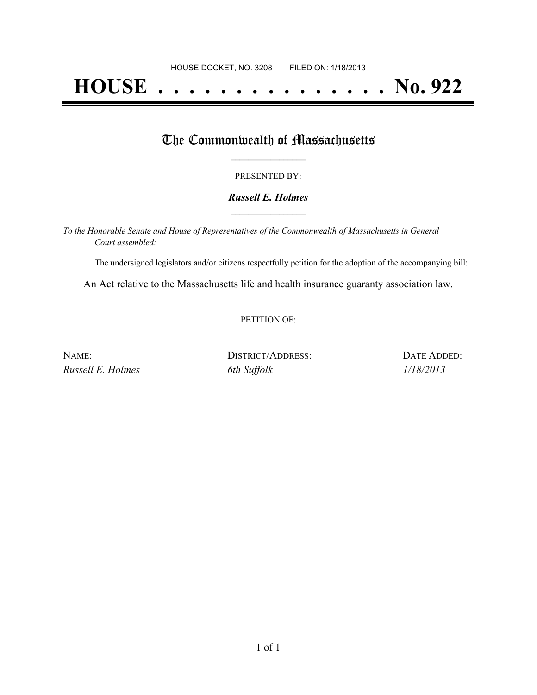# **HOUSE . . . . . . . . . . . . . . . No. 922**

### The Commonwealth of Massachusetts

#### PRESENTED BY:

#### *Russell E. Holmes* **\_\_\_\_\_\_\_\_\_\_\_\_\_\_\_\_\_**

*To the Honorable Senate and House of Representatives of the Commonwealth of Massachusetts in General Court assembled:*

The undersigned legislators and/or citizens respectfully petition for the adoption of the accompanying bill:

An Act relative to the Massachusetts life and health insurance guaranty association law. **\_\_\_\_\_\_\_\_\_\_\_\_\_\_\_**

#### PETITION OF:

| NAME:             | DISTRICT/ADDRESS: | DATE ADDED: |
|-------------------|-------------------|-------------|
| Russell E. Holmes | 6th Suffolk       | 1/18/2013   |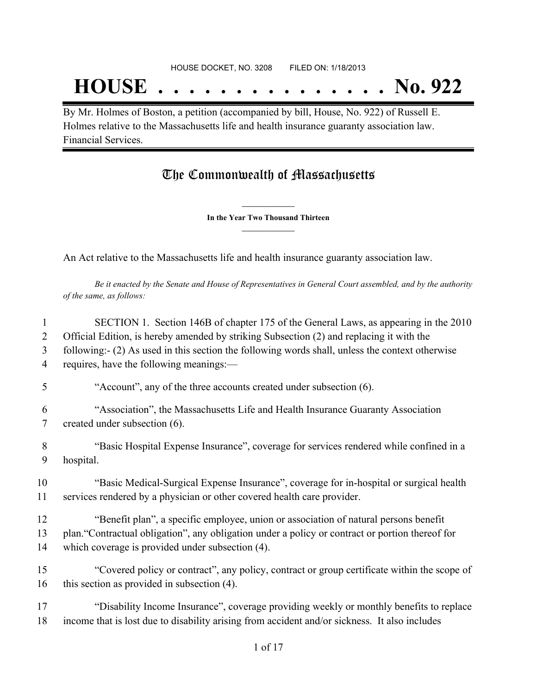## **HOUSE . . . . . . . . . . . . . . . No. 922**

By Mr. Holmes of Boston, a petition (accompanied by bill, House, No. 922) of Russell E. Holmes relative to the Massachusetts life and health insurance guaranty association law. Financial Services.

## The Commonwealth of Massachusetts

**\_\_\_\_\_\_\_\_\_\_\_\_\_\_\_ In the Year Two Thousand Thirteen \_\_\_\_\_\_\_\_\_\_\_\_\_\_\_**

An Act relative to the Massachusetts life and health insurance guaranty association law.

Be it enacted by the Senate and House of Representatives in General Court assembled, and by the authority *of the same, as follows:*

| 1  | SECTION 1. Section 146B of chapter 175 of the General Laws, as appearing in the 2010             |
|----|--------------------------------------------------------------------------------------------------|
| 2  | Official Edition, is hereby amended by striking Subsection (2) and replacing it with the         |
| 3  | following:- (2) As used in this section the following words shall, unless the context otherwise  |
| 4  | requires, have the following meanings:-                                                          |
| 5  | "Account", any of the three accounts created under subsection (6).                               |
| 6  | "Association", the Massachusetts Life and Health Insurance Guaranty Association                  |
| 7  | created under subsection (6).                                                                    |
| 8  | "Basic Hospital Expense Insurance", coverage for services rendered while confined in a           |
| 9  | hospital.                                                                                        |
| 10 | "Basic Medical-Surgical Expense Insurance", coverage for in-hospital or surgical health          |
| 11 | services rendered by a physician or other covered health care provider.                          |
| 12 | "Benefit plan", a specific employee, union or association of natural persons benefit             |
| 13 | plan. "Contractual obligation", any obligation under a policy or contract or portion thereof for |
| 14 | which coverage is provided under subsection (4).                                                 |
| 15 | "Covered policy or contract", any policy, contract or group certificate within the scope of      |
| 16 | this section as provided in subsection (4).                                                      |
| 17 | "Disability Income Insurance", coverage providing weekly or monthly benefits to replace          |
| 18 | income that is lost due to disability arising from accident and/or sickness. It also includes    |
|    | $1 \cdot \mathcal{L} 17$                                                                         |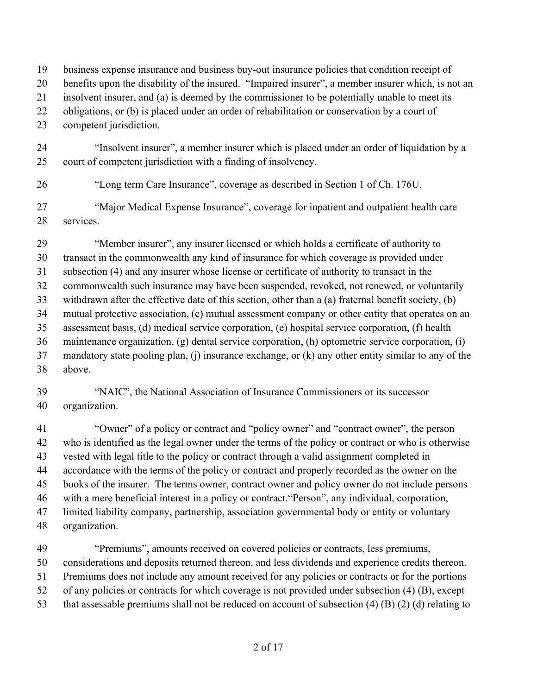- business expense insurance and business buy-out insurance policies that condition receipt of
- benefits upon the disability of the insured. "Impaired insurer", a member insurer which, is not an
- insolvent insurer, and (a) is deemed by the commissioner to be potentially unable to meet its
- obligations, or (b) is placed under an order of rehabilitation or conservation by a court of
- competent jurisdiction.
- "Insolvent insurer", a member insurer which is placed under an order of liquidation by a court of competent jurisdiction with a finding of insolvency.
- 

"Long term Care Insurance", coverage as described in Section 1 of Ch. 176U.

 "Major Medical Expense Insurance", coverage for inpatient and outpatient health care services.

 "Member insurer", any insurer licensed or which holds a certificate of authority to transact in the commonwealth any kind of insurance for which coverage is provided under subsection (4) and any insurer whose license or certificate of authority to transact in the commonwealth such insurance may have been suspended, revoked, not renewed, or voluntarily withdrawn after the effective date of this section, other than a (a) fraternal benefit society, (b) mutual protective association, (c) mutual assessment company or other entity that operates on an assessment basis, (d) medical service corporation, (e) hospital service corporation, (f) health maintenance organization, (g) dental service corporation, (h) optometric service corporation, (i) mandatory state pooling plan, (j) insurance exchange, or (k) any other entity similar to any of the above.

 "NAIC", the National Association of Insurance Commissioners or its successor organization.

 "Owner" of a policy or contract and "policy owner" and "contract owner", the person who is identified as the legal owner under the terms of the policy or contract or who is otherwise vested with legal title to the policy or contract through a valid assignment completed in accordance with the terms of the policy or contract and properly recorded as the owner on the books of the insurer. The terms owner, contract owner and policy owner do not include persons with a mere beneficial interest in a policy or contract."Person", any individual, corporation, limited liability company, partnership, association governmental body or entity or voluntary organization.

 "Premiums", amounts received on covered policies or contracts, less premiums, considerations and deposits returned thereon, and less dividends and experience credits thereon. Premiums does not include any amount received for any policies or contracts or for the portions of any policies or contracts for which coverage is not provided under subsection (4) (B), except that assessable premiums shall not be reduced on account of subsection (4) (B) (2) (d) relating to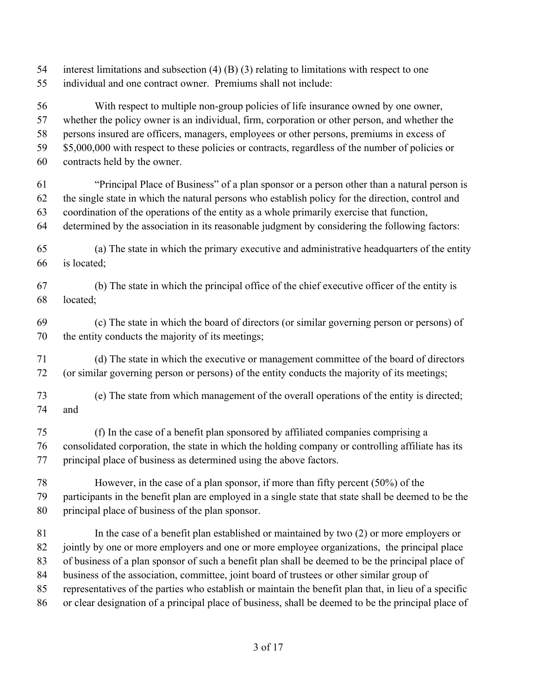- interest limitations and subsection (4) (B) (3) relating to limitations with respect to one
- individual and one contract owner. Premiums shall not include:

 With respect to multiple non-group policies of life insurance owned by one owner, whether the policy owner is an individual, firm, corporation or other person, and whether the persons insured are officers, managers, employees or other persons, premiums in excess of 59 \$5,000,000 with respect to these policies or contracts, regardless of the number of policies or contracts held by the owner. "Principal Place of Business" of a plan sponsor or a person other than a natural person is the single state in which the natural persons who establish policy for the direction, control and coordination of the operations of the entity as a whole primarily exercise that function, determined by the association in its reasonable judgment by considering the following factors: (a) The state in which the primary executive and administrative headquarters of the entity is located; (b) The state in which the principal office of the chief executive officer of the entity is

located;

 (c) The state in which the board of directors (or similar governing person or persons) of the entity conducts the majority of its meetings;

 (d) The state in which the executive or management committee of the board of directors (or similar governing person or persons) of the entity conducts the majority of its meetings;

- (e) The state from which management of the overall operations of the entity is directed; and
- (f) In the case of a benefit plan sponsored by affiliated companies comprising a consolidated corporation, the state in which the holding company or controlling affiliate has its principal place of business as determined using the above factors.

 However, in the case of a plan sponsor, if more than fifty percent (50%) of the participants in the benefit plan are employed in a single state that state shall be deemed to be the principal place of business of the plan sponsor.

 In the case of a benefit plan established or maintained by two (2) or more employers or jointly by one or more employers and one or more employee organizations, the principal place of business of a plan sponsor of such a benefit plan shall be deemed to be the principal place of business of the association, committee, joint board of trustees or other similar group of representatives of the parties who establish or maintain the benefit plan that, in lieu of a specific or clear designation of a principal place of business, shall be deemed to be the principal place of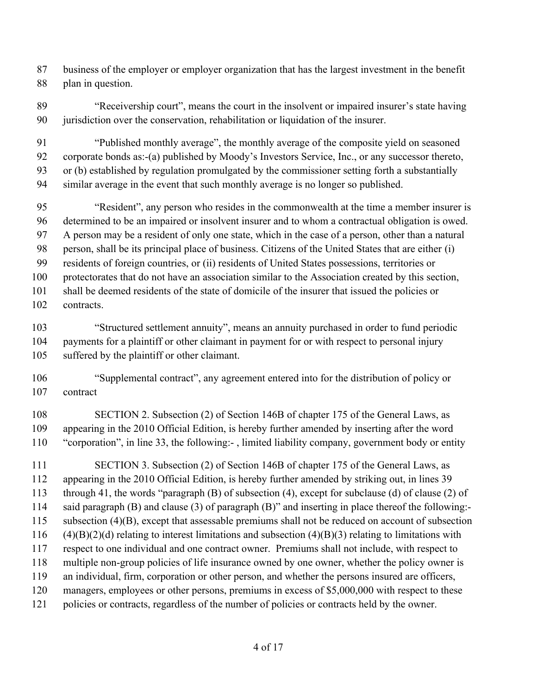business of the employer or employer organization that has the largest investment in the benefit plan in question.

 "Receivership court", means the court in the insolvent or impaired insurer's state having jurisdiction over the conservation, rehabilitation or liquidation of the insurer.

 "Published monthly average", the monthly average of the composite yield on seasoned corporate bonds as:-(a) published by Moody's Investors Service, Inc., or any successor thereto, or (b) established by regulation promulgated by the commissioner setting forth a substantially similar average in the event that such monthly average is no longer so published.

 "Resident", any person who resides in the commonwealth at the time a member insurer is determined to be an impaired or insolvent insurer and to whom a contractual obligation is owed. A person may be a resident of only one state, which in the case of a person, other than a natural person, shall be its principal place of business. Citizens of the United States that are either (i) residents of foreign countries, or (ii) residents of United States possessions, territories or protectorates that do not have an association similar to the Association created by this section, shall be deemed residents of the state of domicile of the insurer that issued the policies or contracts.

 "Structured settlement annuity", means an annuity purchased in order to fund periodic payments for a plaintiff or other claimant in payment for or with respect to personal injury suffered by the plaintiff or other claimant.

 "Supplemental contract", any agreement entered into for the distribution of policy or contract

 SECTION 2. Subsection (2) of Section 146B of chapter 175 of the General Laws, as appearing in the 2010 Official Edition, is hereby further amended by inserting after the word "corporation", in line 33, the following:- , limited liability company, government body or entity

 SECTION 3. Subsection (2) of Section 146B of chapter 175 of the General Laws, as appearing in the 2010 Official Edition, is hereby further amended by striking out, in lines 39 through 41, the words "paragraph (B) of subsection (4), except for subclause (d) of clause (2) of said paragraph (B) and clause (3) of paragraph (B)" and inserting in place thereof the following:- subsection (4)(B), except that assessable premiums shall not be reduced on account of subsection 116 (4)(B)(2)(d) relating to interest limitations and subsection (4)(B)(3) relating to limitations with respect to one individual and one contract owner. Premiums shall not include, with respect to multiple non-group policies of life insurance owned by one owner, whether the policy owner is an individual, firm, corporation or other person, and whether the persons insured are officers, managers, employees or other persons, premiums in excess of \$5,000,000 with respect to these policies or contracts, regardless of the number of policies or contracts held by the owner.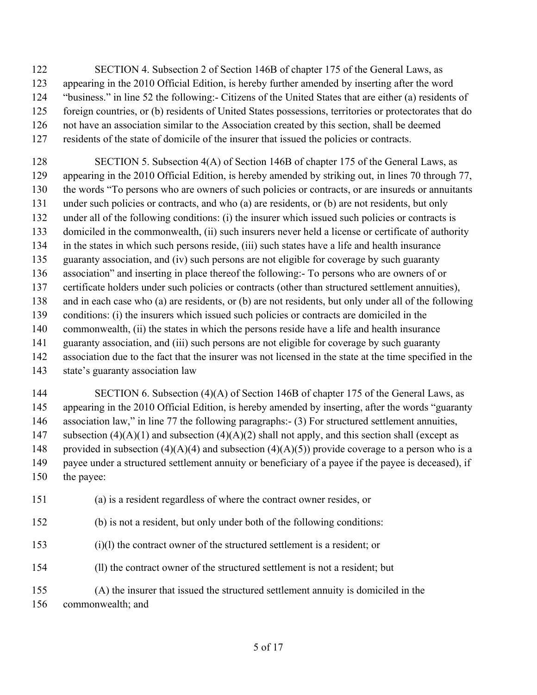SECTION 4. Subsection 2 of Section 146B of chapter 175 of the General Laws, as appearing in the 2010 Official Edition, is hereby further amended by inserting after the word "business." in line 52 the following:- Citizens of the United States that are either (a) residents of foreign countries, or (b) residents of United States possessions, territories or protectorates that do not have an association similar to the Association created by this section, shall be deemed residents of the state of domicile of the insurer that issued the policies or contracts.

128 SECTION 5. Subsection 4(A) of Section 146B of chapter 175 of the General Laws, as appearing in the 2010 Official Edition, is hereby amended by striking out, in lines 70 through 77, the words "To persons who are owners of such policies or contracts, or are insureds or annuitants under such policies or contracts, and who (a) are residents, or (b) are not residents, but only under all of the following conditions: (i) the insurer which issued such policies or contracts is domiciled in the commonwealth, (ii) such insurers never held a license or certificate of authority in the states in which such persons reside, (iii) such states have a life and health insurance guaranty association, and (iv) such persons are not eligible for coverage by such guaranty association" and inserting in place thereof the following:- To persons who are owners of or certificate holders under such policies or contracts (other than structured settlement annuities), and in each case who (a) are residents, or (b) are not residents, but only under all of the following conditions: (i) the insurers which issued such policies or contracts are domiciled in the commonwealth, (ii) the states in which the persons reside have a life and health insurance guaranty association, and (iii) such persons are not eligible for coverage by such guaranty association due to the fact that the insurer was not licensed in the state at the time specified in the state's guaranty association law

### 144 SECTION 6. Subsection (4)(A) of Section 146B of chapter 175 of the General Laws, as appearing in the 2010 Official Edition, is hereby amended by inserting, after the words "guaranty association law," in line 77 the following paragraphs:- (3) For structured settlement annuities, 147 subsection  $(4)(A)(1)$  and subsection  $(4)(A)(2)$  shall not apply, and this section shall (except as 148 provided in subsection (4)(A)(4) and subsection (4)(A)(5)) provide coverage to a person who is a payee under a structured settlement annuity or beneficiary of a payee if the payee is deceased), if the payee:

(a) is a resident regardless of where the contract owner resides, or

(b) is not a resident, but only under both of the following conditions:

(i)(l) the contract owner of the structured settlement is a resident; or

(ll) the contract owner of the structured settlement is not a resident; but

 (A) the insurer that issued the structured settlement annuity is domiciled in the commonwealth; and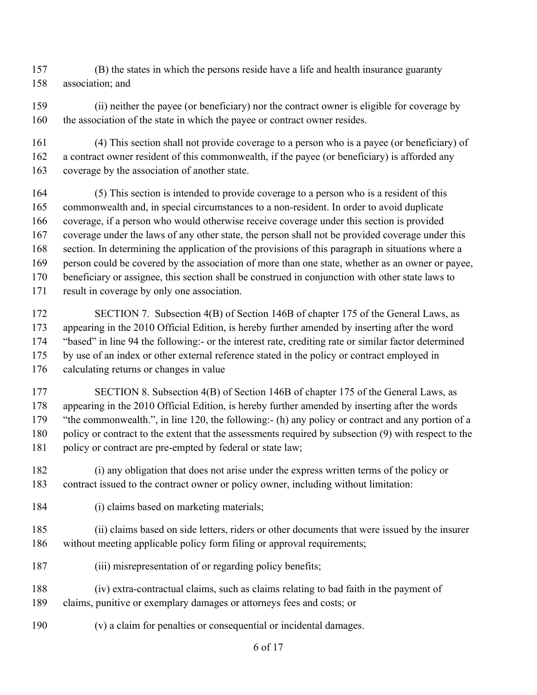- (B) the states in which the persons reside have a life and health insurance guaranty association; and
- (ii) neither the payee (or beneficiary) nor the contract owner is eligible for coverage by 160 the association of the state in which the payee or contract owner resides.
- (4) This section shall not provide coverage to a person who is a payee (or beneficiary) of a contract owner resident of this commonwealth, if the payee (or beneficiary) is afforded any coverage by the association of another state.
- (5) This section is intended to provide coverage to a person who is a resident of this commonwealth and, in special circumstances to a non-resident. In order to avoid duplicate coverage, if a person who would otherwise receive coverage under this section is provided coverage under the laws of any other state, the person shall not be provided coverage under this section. In determining the application of the provisions of this paragraph in situations where a person could be covered by the association of more than one state, whether as an owner or payee, beneficiary or assignee, this section shall be construed in conjunction with other state laws to result in coverage by only one association.
- 172 SECTION 7. Subsection 4(B) of Section 146B of chapter 175 of the General Laws, as appearing in the 2010 Official Edition, is hereby further amended by inserting after the word "based" in line 94 the following:- or the interest rate, crediting rate or similar factor determined by use of an index or other external reference stated in the policy or contract employed in calculating returns or changes in value
- SECTION 8. Subsection 4(B) of Section 146B of chapter 175 of the General Laws, as appearing in the 2010 Official Edition, is hereby further amended by inserting after the words "the commonwealth.", in line 120, the following:- (h) any policy or contract and any portion of a 180 policy or contract to the extent that the assessments required by subsection (9) with respect to the 181 policy or contract are pre-empted by federal or state law;
- (i) any obligation that does not arise under the express written terms of the policy or contract issued to the contract owner or policy owner, including without limitation:
- (i) claims based on marketing materials;
- (ii) claims based on side letters, riders or other documents that were issued by the insurer without meeting applicable policy form filing or approval requirements;
- 187 (iii) misrepresentation of or regarding policy benefits;
- (iv) extra-contractual claims, such as claims relating to bad faith in the payment of claims, punitive or exemplary damages or attorneys fees and costs; or
- (v) a claim for penalties or consequential or incidental damages.
	- of 17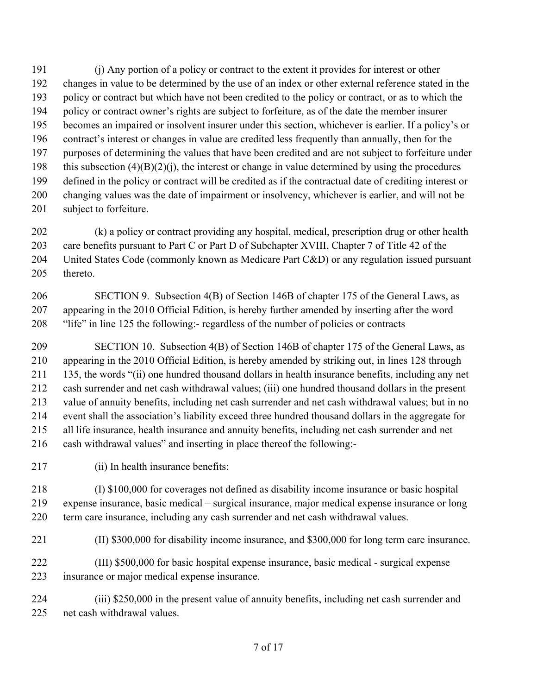(j) Any portion of a policy or contract to the extent it provides for interest or other changes in value to be determined by the use of an index or other external reference stated in the policy or contract but which have not been credited to the policy or contract, or as to which the policy or contract owner's rights are subject to forfeiture, as of the date the member insurer becomes an impaired or insolvent insurer under this section, whichever is earlier. If a policy's or contract's interest or changes in value are credited less frequently than annually, then for the purposes of determining the values that have been credited and are not subject to forfeiture under 198 this subsection  $(4)(B)(2)(i)$ , the interest or change in value determined by using the procedures defined in the policy or contract will be credited as if the contractual date of crediting interest or changing values was the date of impairment or insolvency, whichever is earlier, and will not be subject to forfeiture.

 (k) a policy or contract providing any hospital, medical, prescription drug or other health care benefits pursuant to Part C or Part D of Subchapter XVIII, Chapter 7 of Title 42 of the United States Code (commonly known as Medicare Part C&D) or any regulation issued pursuant thereto.

 SECTION 9. Subsection 4(B) of Section 146B of chapter 175 of the General Laws, as appearing in the 2010 Official Edition, is hereby further amended by inserting after the word "life" in line 125 the following:- regardless of the number of policies or contracts

 SECTION 10. Subsection 4(B) of Section 146B of chapter 175 of the General Laws, as appearing in the 2010 Official Edition, is hereby amended by striking out, in lines 128 through 135, the words "(ii) one hundred thousand dollars in health insurance benefits, including any net cash surrender and net cash withdrawal values; (iii) one hundred thousand dollars in the present value of annuity benefits, including net cash surrender and net cash withdrawal values; but in no event shall the association's liability exceed three hundred thousand dollars in the aggregate for all life insurance, health insurance and annuity benefits, including net cash surrender and net cash withdrawal values" and inserting in place thereof the following:-

(ii) In health insurance benefits:

 (I) \$100,000 for coverages not defined as disability income insurance or basic hospital expense insurance, basic medical – surgical insurance, major medical expense insurance or long term care insurance, including any cash surrender and net cash withdrawal values.

(II) \$300,000 for disability income insurance, and \$300,000 for long term care insurance.

 (III) \$500,000 for basic hospital expense insurance, basic medical - surgical expense insurance or major medical expense insurance.

 (iii) \$250,000 in the present value of annuity benefits, including net cash surrender and net cash withdrawal values.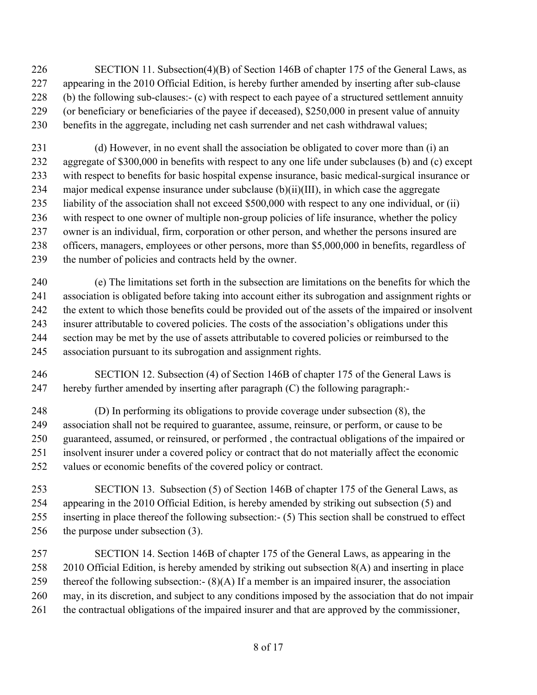- 226 SECTION 11. Subsection(4)(B) of Section 146B of chapter 175 of the General Laws, as appearing in the 2010 Official Edition, is hereby further amended by inserting after sub-clause (b) the following sub-clauses:- (c) with respect to each payee of a structured settlement annuity (or beneficiary or beneficiaries of the payee if deceased), \$250,000 in present value of annuity benefits in the aggregate, including net cash surrender and net cash withdrawal values;
- (d) However, in no event shall the association be obligated to cover more than (i) an aggregate of \$300,000 in benefits with respect to any one life under subclauses (b) and (c) except with respect to benefits for basic hospital expense insurance, basic medical-surgical insurance or major medical expense insurance under subclause (b)(ii)(III), in which case the aggregate liability of the association shall not exceed \$500,000 with respect to any one individual, or (ii) with respect to one owner of multiple non-group policies of life insurance, whether the policy owner is an individual, firm, corporation or other person, and whether the persons insured are officers, managers, employees or other persons, more than \$5,000,000 in benefits, regardless of the number of policies and contracts held by the owner.
- (e) The limitations set forth in the subsection are limitations on the benefits for which the association is obligated before taking into account either its subrogation and assignment rights or the extent to which those benefits could be provided out of the assets of the impaired or insolvent insurer attributable to covered policies. The costs of the association's obligations under this section may be met by the use of assets attributable to covered policies or reimbursed to the association pursuant to its subrogation and assignment rights.
- SECTION 12. Subsection (4) of Section 146B of chapter 175 of the General Laws is hereby further amended by inserting after paragraph (C) the following paragraph:-
- (D) In performing its obligations to provide coverage under subsection (8), the association shall not be required to guarantee, assume, reinsure, or perform, or cause to be guaranteed, assumed, or reinsured, or performed , the contractual obligations of the impaired or insolvent insurer under a covered policy or contract that do not materially affect the economic values or economic benefits of the covered policy or contract.
- SECTION 13. Subsection (5) of Section 146B of chapter 175 of the General Laws, as appearing in the 2010 Official Edition, is hereby amended by striking out subsection (5) and inserting in place thereof the following subsection:- (5) This section shall be construed to effect 256 the purpose under subsection (3).
- SECTION 14. Section 146B of chapter 175 of the General Laws, as appearing in the 2010 Official Edition, is hereby amended by striking out subsection 8(A) and inserting in place 259 thereof the following subsection:-  $(8)(A)$  If a member is an impaired insurer, the association may, in its discretion, and subject to any conditions imposed by the association that do not impair the contractual obligations of the impaired insurer and that are approved by the commissioner,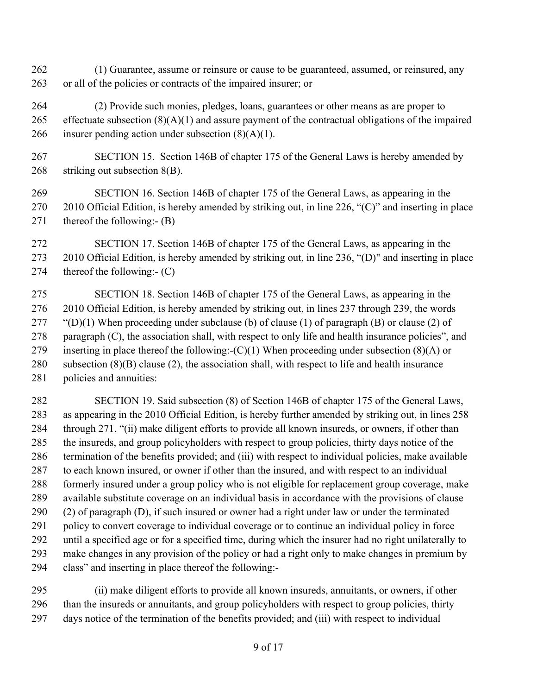- (1) Guarantee, assume or reinsure or cause to be guaranteed, assumed, or reinsured, any or all of the policies or contracts of the impaired insurer; or
- (2) Provide such monies, pledges, loans, guarantees or other means as are proper to 265 effectuate subsection  $(8)(A)(1)$  and assure payment of the contractual obligations of the impaired 266 insurer pending action under subsection  $(8)(A)(1)$ .
- SECTION 15. Section 146B of chapter 175 of the General Laws is hereby amended by striking out subsection 8(B).
- SECTION 16. Section 146B of chapter 175 of the General Laws, as appearing in the 2010 Official Edition, is hereby amended by striking out, in line 226, "(C)" and inserting in place thereof the following:- (B)
- SECTION 17. Section 146B of chapter 175 of the General Laws, as appearing in the 2010 Official Edition, is hereby amended by striking out, in line 236, "(D)" and inserting in place thereof the following:- (C)
- SECTION 18. Section 146B of chapter 175 of the General Laws, as appearing in the 2010 Official Edition, is hereby amended by striking out, in lines 237 through 239, the words 277 "(D)(1) When proceeding under subclause (b) of clause (1) of paragraph (B) or clause (2) of paragraph (C), the association shall, with respect to only life and health insurance policies", and 279 inserting in place thereof the following:- $(C)(1)$  When proceeding under subsection (8)(A) or 280 subsection  $(8)(B)$  clause  $(2)$ , the association shall, with respect to life and health insurance policies and annuities:

 SECTION 19. Said subsection (8) of Section 146B of chapter 175 of the General Laws, as appearing in the 2010 Official Edition, is hereby further amended by striking out, in lines 258 through 271, "(ii) make diligent efforts to provide all known insureds, or owners, if other than the insureds, and group policyholders with respect to group policies, thirty days notice of the termination of the benefits provided; and (iii) with respect to individual policies, make available to each known insured, or owner if other than the insured, and with respect to an individual formerly insured under a group policy who is not eligible for replacement group coverage, make available substitute coverage on an individual basis in accordance with the provisions of clause (2) of paragraph (D), if such insured or owner had a right under law or under the terminated policy to convert coverage to individual coverage or to continue an individual policy in force until a specified age or for a specified time, during which the insurer had no right unilaterally to make changes in any provision of the policy or had a right only to make changes in premium by class" and inserting in place thereof the following:-

 (ii) make diligent efforts to provide all known insureds, annuitants, or owners, if other than the insureds or annuitants, and group policyholders with respect to group policies, thirty days notice of the termination of the benefits provided; and (iii) with respect to individual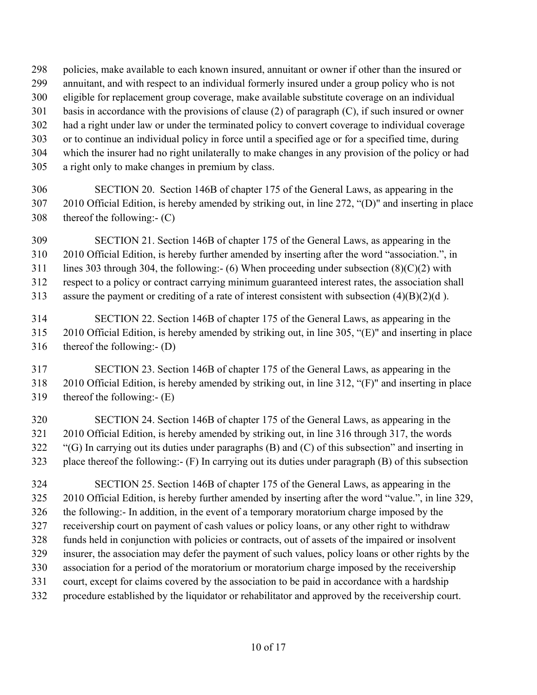- policies, make available to each known insured, annuitant or owner if other than the insured or
- annuitant, and with respect to an individual formerly insured under a group policy who is not
- eligible for replacement group coverage, make available substitute coverage on an individual
- basis in accordance with the provisions of clause (2) of paragraph (C), if such insured or owner
- had a right under law or under the terminated policy to convert coverage to individual coverage
- or to continue an individual policy in force until a specified age or for a specified time, during
- which the insurer had no right unilaterally to make changes in any provision of the policy or had
- a right only to make changes in premium by class.
- SECTION 20. Section 146B of chapter 175 of the General Laws, as appearing in the 2010 Official Edition, is hereby amended by striking out, in line 272, "(D)" and inserting in place thereof the following:- (C)
- SECTION 21. Section 146B of chapter 175 of the General Laws, as appearing in the 2010 Official Edition, is hereby further amended by inserting after the word "association.", in
- 311 lines 303 through 304, the following:- (6) When proceeding under subsection  $(8)(C)(2)$  with

respect to a policy or contract carrying minimum guaranteed interest rates, the association shall

- assure the payment or crediting of a rate of interest consistent with subsection (4)(B)(2)(d ).
- SECTION 22. Section 146B of chapter 175 of the General Laws, as appearing in the 2010 Official Edition, is hereby amended by striking out, in line 305, "(E)" and inserting in place thereof the following:- (D)
- SECTION 23. Section 146B of chapter 175 of the General Laws, as appearing in the 2010 Official Edition, is hereby amended by striking out, in line 312, "(F)" and inserting in place thereof the following:- (E)
- SECTION 24. Section 146B of chapter 175 of the General Laws, as appearing in the 2010 Official Edition, is hereby amended by striking out, in line 316 through 317, the words "(G) In carrying out its duties under paragraphs (B) and (C) of this subsection" and inserting in place thereof the following:- (F) In carrying out its duties under paragraph (B) of this subsection
- SECTION 25. Section 146B of chapter 175 of the General Laws, as appearing in the 2010 Official Edition, is hereby further amended by inserting after the word "value.", in line 329, the following:- In addition, in the event of a temporary moratorium charge imposed by the receivership court on payment of cash values or policy loans, or any other right to withdraw funds held in conjunction with policies or contracts, out of assets of the impaired or insolvent insurer, the association may defer the payment of such values, policy loans or other rights by the association for a period of the moratorium or moratorium charge imposed by the receivership court, except for claims covered by the association to be paid in accordance with a hardship procedure established by the liquidator or rehabilitator and approved by the receivership court.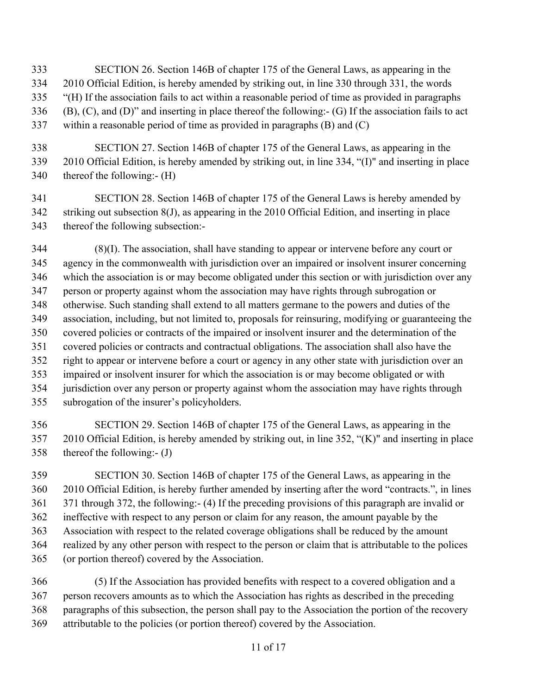- SECTION 26. Section 146B of chapter 175 of the General Laws, as appearing in the 2010 Official Edition, is hereby amended by striking out, in line 330 through 331, the words "(H) If the association fails to act within a reasonable period of time as provided in paragraphs (B), (C), and (D)" and inserting in place thereof the following:- (G) If the association fails to act within a reasonable period of time as provided in paragraphs (B) and (C)
- SECTION 27. Section 146B of chapter 175 of the General Laws, as appearing in the 2010 Official Edition, is hereby amended by striking out, in line 334, "(I)" and inserting in place thereof the following:- (H)
- SECTION 28. Section 146B of chapter 175 of the General Laws is hereby amended by striking out subsection 8(J), as appearing in the 2010 Official Edition, and inserting in place thereof the following subsection:-
- (8)(I). The association, shall have standing to appear or intervene before any court or agency in the commonwealth with jurisdiction over an impaired or insolvent insurer concerning which the association is or may become obligated under this section or with jurisdiction over any person or property against whom the association may have rights through subrogation or otherwise. Such standing shall extend to all matters germane to the powers and duties of the association, including, but not limited to, proposals for reinsuring, modifying or guaranteeing the covered policies or contracts of the impaired or insolvent insurer and the determination of the covered policies or contracts and contractual obligations. The association shall also have the right to appear or intervene before a court or agency in any other state with jurisdiction over an impaired or insolvent insurer for which the association is or may become obligated or with jurisdiction over any person or property against whom the association may have rights through subrogation of the insurer's policyholders.
- SECTION 29. Section 146B of chapter 175 of the General Laws, as appearing in the 2010 Official Edition, is hereby amended by striking out, in line 352, "(K)" and inserting in place thereof the following:- (J)
- SECTION 30. Section 146B of chapter 175 of the General Laws, as appearing in the 2010 Official Edition, is hereby further amended by inserting after the word "contracts.", in lines 371 through 372, the following:- (4) If the preceding provisions of this paragraph are invalid or ineffective with respect to any person or claim for any reason, the amount payable by the Association with respect to the related coverage obligations shall be reduced by the amount realized by any other person with respect to the person or claim that is attributable to the polices (or portion thereof) covered by the Association.
- (5) If the Association has provided benefits with respect to a covered obligation and a person recovers amounts as to which the Association has rights as described in the preceding paragraphs of this subsection, the person shall pay to the Association the portion of the recovery attributable to the policies (or portion thereof) covered by the Association.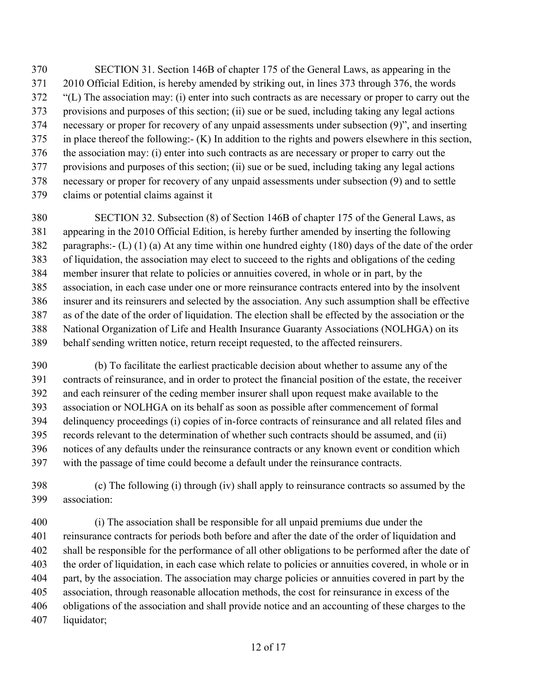SECTION 31. Section 146B of chapter 175 of the General Laws, as appearing in the 2010 Official Edition, is hereby amended by striking out, in lines 373 through 376, the words "(L) The association may: (i) enter into such contracts as are necessary or proper to carry out the provisions and purposes of this section; (ii) sue or be sued, including taking any legal actions necessary or proper for recovery of any unpaid assessments under subsection (9)", and inserting in place thereof the following:- (K) In addition to the rights and powers elsewhere in this section, the association may: (i) enter into such contracts as are necessary or proper to carry out the provisions and purposes of this section; (ii) sue or be sued, including taking any legal actions necessary or proper for recovery of any unpaid assessments under subsection (9) and to settle claims or potential claims against it

 SECTION 32. Subsection (8) of Section 146B of chapter 175 of the General Laws, as appearing in the 2010 Official Edition, is hereby further amended by inserting the following paragraphs:- (L) (1) (a) At any time within one hundred eighty (180) days of the date of the order of liquidation, the association may elect to succeed to the rights and obligations of the ceding member insurer that relate to policies or annuities covered, in whole or in part, by the association, in each case under one or more reinsurance contracts entered into by the insolvent insurer and its reinsurers and selected by the association. Any such assumption shall be effective as of the date of the order of liquidation. The election shall be effected by the association or the National Organization of Life and Health Insurance Guaranty Associations (NOLHGA) on its behalf sending written notice, return receipt requested, to the affected reinsurers.

 (b) To facilitate the earliest practicable decision about whether to assume any of the contracts of reinsurance, and in order to protect the financial position of the estate, the receiver and each reinsurer of the ceding member insurer shall upon request make available to the association or NOLHGA on its behalf as soon as possible after commencement of formal delinquency proceedings (i) copies of in-force contracts of reinsurance and all related files and records relevant to the determination of whether such contracts should be assumed, and (ii) notices of any defaults under the reinsurance contracts or any known event or condition which with the passage of time could become a default under the reinsurance contracts.

 (c) The following (i) through (iv) shall apply to reinsurance contracts so assumed by the association:

 (i) The association shall be responsible for all unpaid premiums due under the reinsurance contracts for periods both before and after the date of the order of liquidation and shall be responsible for the performance of all other obligations to be performed after the date of the order of liquidation, in each case which relate to policies or annuities covered, in whole or in part, by the association. The association may charge policies or annuities covered in part by the association, through reasonable allocation methods, the cost for reinsurance in excess of the obligations of the association and shall provide notice and an accounting of these charges to the liquidator;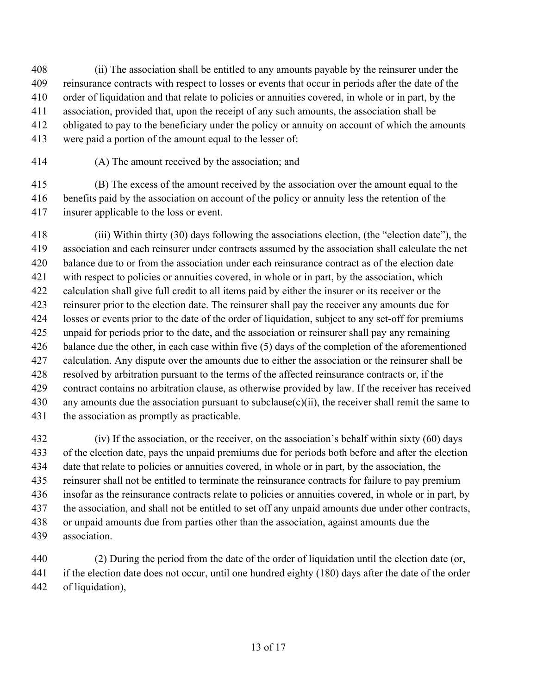(ii) The association shall be entitled to any amounts payable by the reinsurer under the reinsurance contracts with respect to losses or events that occur in periods after the date of the order of liquidation and that relate to policies or annuities covered, in whole or in part, by the association, provided that, upon the receipt of any such amounts, the association shall be obligated to pay to the beneficiary under the policy or annuity on account of which the amounts were paid a portion of the amount equal to the lesser of:

(A) The amount received by the association; and

 (B) The excess of the amount received by the association over the amount equal to the benefits paid by the association on account of the policy or annuity less the retention of the insurer applicable to the loss or event.

 (iii) Within thirty (30) days following the associations election, (the "election date"), the association and each reinsurer under contracts assumed by the association shall calculate the net balance due to or from the association under each reinsurance contract as of the election date with respect to policies or annuities covered, in whole or in part, by the association, which calculation shall give full credit to all items paid by either the insurer or its receiver or the reinsurer prior to the election date. The reinsurer shall pay the receiver any amounts due for losses or events prior to the date of the order of liquidation, subject to any set-off for premiums unpaid for periods prior to the date, and the association or reinsurer shall pay any remaining balance due the other, in each case within five (5) days of the completion of the aforementioned calculation. Any dispute over the amounts due to either the association or the reinsurer shall be resolved by arbitration pursuant to the terms of the affected reinsurance contracts or, if the contract contains no arbitration clause, as otherwise provided by law. If the receiver has received any amounts due the association pursuant to subclause(c)(ii), the receiver shall remit the same to the association as promptly as practicable.

 (iv) If the association, or the receiver, on the association's behalf within sixty (60) days of the election date, pays the unpaid premiums due for periods both before and after the election date that relate to policies or annuities covered, in whole or in part, by the association, the reinsurer shall not be entitled to terminate the reinsurance contracts for failure to pay premium insofar as the reinsurance contracts relate to policies or annuities covered, in whole or in part, by the association, and shall not be entitled to set off any unpaid amounts due under other contracts, or unpaid amounts due from parties other than the association, against amounts due the association.

 (2) During the period from the date of the order of liquidation until the election date (or, if the election date does not occur, until one hundred eighty (180) days after the date of the order of liquidation),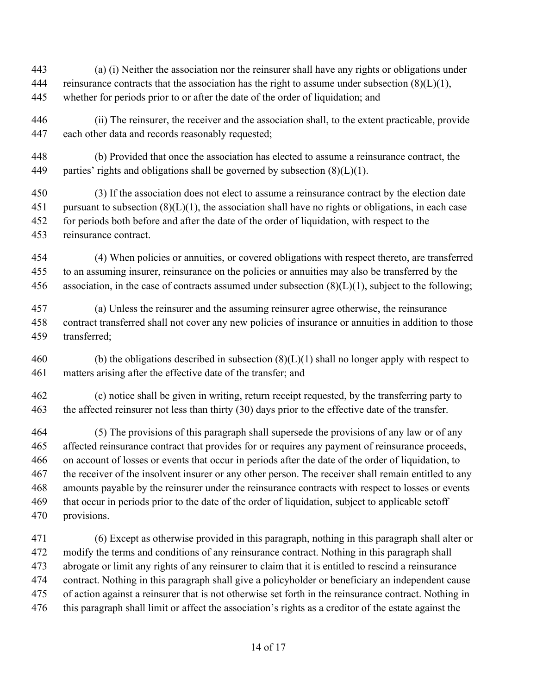- (a) (i) Neither the association nor the reinsurer shall have any rights or obligations under 444 reinsurance contracts that the association has the right to assume under subsection  $(8)(L)(1)$ , whether for periods prior to or after the date of the order of liquidation; and
- (ii) The reinsurer, the receiver and the association shall, to the extent practicable, provide each other data and records reasonably requested;
- (b) Provided that once the association has elected to assume a reinsurance contract, the 449 parties' rights and obligations shall be governed by subsection  $(8)(L)(1)$ .
- (3) If the association does not elect to assume a reinsurance contract by the election date 451 pursuant to subsection  $(8)(L)(1)$ , the association shall have no rights or obligations, in each case for periods both before and after the date of the order of liquidation, with respect to the reinsurance contract.
- (4) When policies or annuities, or covered obligations with respect thereto, are transferred to an assuming insurer, reinsurance on the policies or annuities may also be transferred by the 456 association, in the case of contracts assumed under subsection  $(8)(L)(1)$ , subject to the following;
- (a) Unless the reinsurer and the assuming reinsurer agree otherwise, the reinsurance contract transferred shall not cover any new policies of insurance or annuities in addition to those transferred;
- 460 (b) the obligations described in subsection  $(8)(L)(1)$  shall no longer apply with respect to matters arising after the effective date of the transfer; and
- (c) notice shall be given in writing, return receipt requested, by the transferring party to the affected reinsurer not less than thirty (30) days prior to the effective date of the transfer.
- (5) The provisions of this paragraph shall supersede the provisions of any law or of any affected reinsurance contract that provides for or requires any payment of reinsurance proceeds, on account of losses or events that occur in periods after the date of the order of liquidation, to 467 the receiver of the insolvent insurer or any other person. The receiver shall remain entitled to any amounts payable by the reinsurer under the reinsurance contracts with respect to losses or events that occur in periods prior to the date of the order of liquidation, subject to applicable setoff provisions.
- (6) Except as otherwise provided in this paragraph, nothing in this paragraph shall alter or modify the terms and conditions of any reinsurance contract. Nothing in this paragraph shall abrogate or limit any rights of any reinsurer to claim that it is entitled to rescind a reinsurance contract. Nothing in this paragraph shall give a policyholder or beneficiary an independent cause of action against a reinsurer that is not otherwise set forth in the reinsurance contract. Nothing in this paragraph shall limit or affect the association's rights as a creditor of the estate against the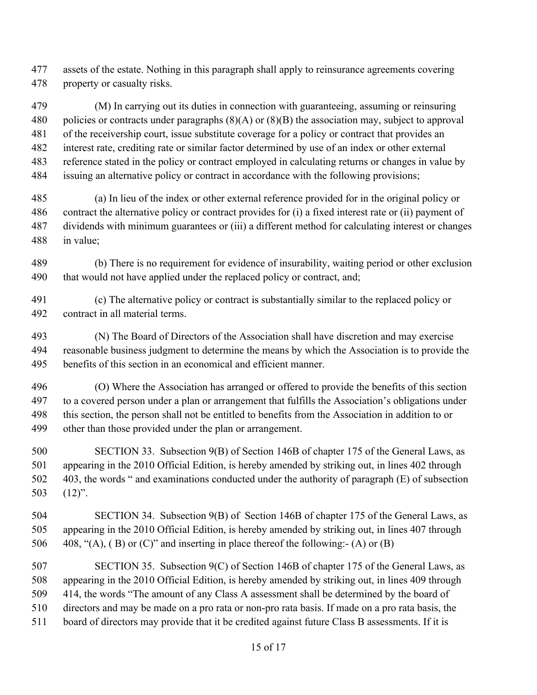assets of the estate. Nothing in this paragraph shall apply to reinsurance agreements covering property or casualty risks.

 (M) In carrying out its duties in connection with guaranteeing, assuming or reinsuring 480 policies or contracts under paragraphs  $(8)(A)$  or  $(8)(B)$  the association may, subject to approval of the receivership court, issue substitute coverage for a policy or contract that provides an interest rate, crediting rate or similar factor determined by use of an index or other external reference stated in the policy or contract employed in calculating returns or changes in value by issuing an alternative policy or contract in accordance with the following provisions;

 (a) In lieu of the index or other external reference provided for in the original policy or contract the alternative policy or contract provides for (i) a fixed interest rate or (ii) payment of dividends with minimum guarantees or (iii) a different method for calculating interest or changes in value;

 (b) There is no requirement for evidence of insurability, waiting period or other exclusion 490 that would not have applied under the replaced policy or contract, and;

 (c) The alternative policy or contract is substantially similar to the replaced policy or contract in all material terms.

 (N) The Board of Directors of the Association shall have discretion and may exercise reasonable business judgment to determine the means by which the Association is to provide the benefits of this section in an economical and efficient manner.

 (O) Where the Association has arranged or offered to provide the benefits of this section to a covered person under a plan or arrangement that fulfills the Association's obligations under this section, the person shall not be entitled to benefits from the Association in addition to or other than those provided under the plan or arrangement.

 SECTION 33. Subsection 9(B) of Section 146B of chapter 175 of the General Laws, as appearing in the 2010 Official Edition, is hereby amended by striking out, in lines 402 through 403, the words " and examinations conducted under the authority of paragraph (E) of subsection (12)".

 SECTION 34. Subsection 9(B) of Section 146B of chapter 175 of the General Laws, as appearing in the 2010 Official Edition, is hereby amended by striking out, in lines 407 through 506 408, " $(A)$ ,  $(B)$  or  $(C)$ " and inserting in place thereof the following:- $(A)$  or  $(B)$ 

 SECTION 35. Subsection 9(C) of Section 146B of chapter 175 of the General Laws, as appearing in the 2010 Official Edition, is hereby amended by striking out, in lines 409 through 414, the words "The amount of any Class A assessment shall be determined by the board of directors and may be made on a pro rata or non-pro rata basis. If made on a pro rata basis, the board of directors may provide that it be credited against future Class B assessments. If it is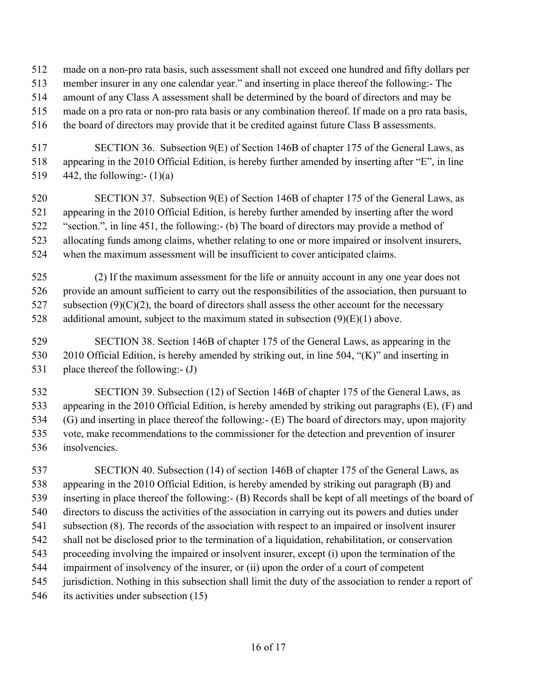- made on a non-pro rata basis, such assessment shall not exceed one hundred and fifty dollars per
- member insurer in any one calendar year." and inserting in place thereof the following:- The
- amount of any Class A assessment shall be determined by the board of directors and may be
- made on a pro rata or non-pro rata basis or any combination thereof. If made on a pro rata basis,
- the board of directors may provide that it be credited against future Class B assessments.
- SECTION 36. Subsection 9(E) of Section 146B of chapter 175 of the General Laws, as appearing in the 2010 Official Edition, is hereby further amended by inserting after "E", in line 519 442, the following:-  $(1)(a)$
- SECTION 37. Subsection 9(E) of Section 146B of chapter 175 of the General Laws, as appearing in the 2010 Official Edition, is hereby further amended by inserting after the word "section.", in line 451, the following:- (b) The board of directors may provide a method of allocating funds among claims, whether relating to one or more impaired or insolvent insurers, when the maximum assessment will be insufficient to cover anticipated claims.
- (2) If the maximum assessment for the life or annuity account in any one year does not provide an amount sufficient to carry out the responsibilities of the association, then pursuant to 527 subsection  $(9)(C)(2)$ , the board of directors shall assess the other account for the necessary 528 additional amount, subject to the maximum stated in subsection  $(9)(E)(1)$  above.
- SECTION 38. Section 146B of chapter 175 of the General Laws, as appearing in the 2010 Official Edition, is hereby amended by striking out, in line 504, "(K)" and inserting in 531 place thereof the following:- (J)
- SECTION 39. Subsection (12) of Section 146B of chapter 175 of the General Laws, as appearing in the 2010 Official Edition, is hereby amended by striking out paragraphs (E), (F) and (G) and inserting in place thereof the following:- (E) The board of directors may, upon majority vote, make recommendations to the commissioner for the detection and prevention of insurer insolvencies.
- SECTION 40. Subsection (14) of section 146B of chapter 175 of the General Laws, as appearing in the 2010 Official Edition, is hereby amended by striking out paragraph (B) and inserting in place thereof the following:- (B) Records shall be kept of all meetings of the board of directors to discuss the activities of the association in carrying out its powers and duties under subsection (8). The records of the association with respect to an impaired or insolvent insurer shall not be disclosed prior to the termination of a liquidation, rehabilitation, or conservation proceeding involving the impaired or insolvent insurer, except (i) upon the termination of the impairment of insolvency of the insurer, or (ii) upon the order of a court of competent jurisdiction. Nothing in this subsection shall limit the duty of the association to render a report of its activities under subsection (15)